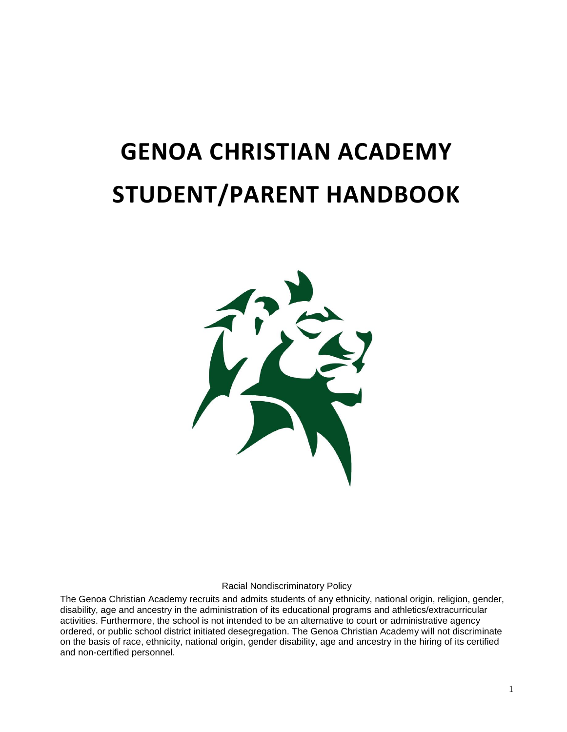# **GENOA CHRISTIAN ACADEMY STUDENT/PARENT HANDBOOK**



Racial Nondiscriminatory Policy

The Genoa Christian Academy recruits and admits students of any ethnicity, national origin, religion, gender, disability, age and ancestry in the administration of its educational programs and athletics/extracurricular activities. Furthermore, the school is not intended to be an alternative to court or administrative agency ordered, or public school district initiated desegregation. The Genoa Christian Academy will not discriminate on the basis of race, ethnicity, national origin, gender disability, age and ancestry in the hiring of its certified and non-certified personnel.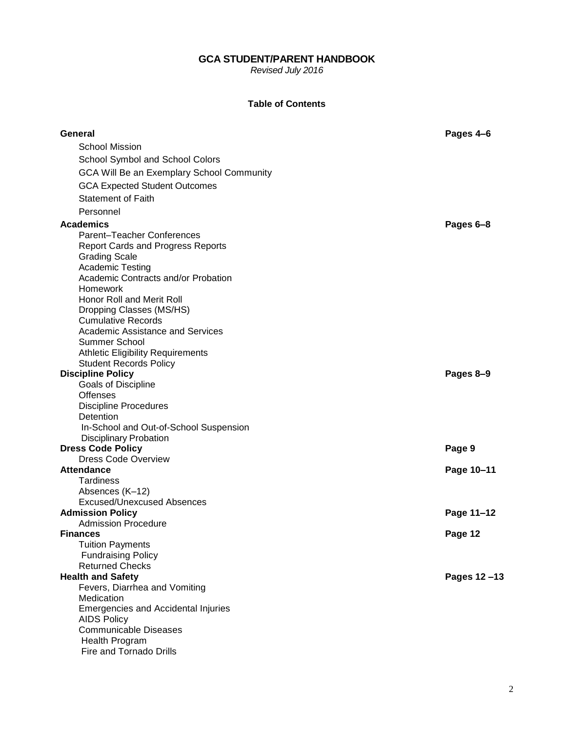# **GCA STUDENT/PARENT HANDBOOK**

*Revised July 2016*

# **Table of Contents**

| General                                                        | Pages 4-6   |
|----------------------------------------------------------------|-------------|
| <b>School Mission</b>                                          |             |
| School Symbol and School Colors                                |             |
| GCA Will Be an Exemplary School Community                      |             |
| <b>GCA Expected Student Outcomes</b>                           |             |
|                                                                |             |
| <b>Statement of Faith</b>                                      |             |
| Personnel                                                      |             |
| <b>Academics</b>                                               | Pages 6-8   |
| <b>Parent-Teacher Conferences</b>                              |             |
| <b>Report Cards and Progress Reports</b>                       |             |
| <b>Grading Scale</b>                                           |             |
| <b>Academic Testing</b><br>Academic Contracts and/or Probation |             |
| Homework                                                       |             |
| Honor Roll and Merit Roll                                      |             |
| Dropping Classes (MS/HS)                                       |             |
| <b>Cumulative Records</b>                                      |             |
| <b>Academic Assistance and Services</b>                        |             |
| <b>Summer School</b>                                           |             |
| <b>Athletic Eligibility Requirements</b>                       |             |
| <b>Student Records Policy</b>                                  |             |
| <b>Discipline Policy</b>                                       | Pages 8-9   |
| Goals of Discipline                                            |             |
| <b>Offenses</b>                                                |             |
| <b>Discipline Procedures</b>                                   |             |
| Detention                                                      |             |
| In-School and Out-of-School Suspension                         |             |
| <b>Disciplinary Probation</b>                                  |             |
| <b>Dress Code Policy</b>                                       | Page 9      |
| <b>Dress Code Overview</b><br><b>Attendance</b>                |             |
| <b>Tardiness</b>                                               | Page 10-11  |
| Absences (K-12)                                                |             |
| <b>Excused/Unexcused Absences</b>                              |             |
| <b>Admission Policy</b>                                        | Page 11-12  |
| <b>Admission Procedure</b>                                     |             |
| <b>Finances</b>                                                | Page 12     |
| <b>Tuition Payments</b>                                        |             |
| <b>Fundraising Policy</b>                                      |             |
| <b>Returned Checks</b>                                         |             |
| <b>Health and Safety</b>                                       | Pages 12-13 |
| Fevers, Diarrhea and Vomiting                                  |             |
| Medication                                                     |             |
| <b>Emergencies and Accidental Injuries</b>                     |             |
| <b>AIDS Policy</b>                                             |             |
| <b>Communicable Diseases</b>                                   |             |
| Health Program                                                 |             |
| <b>Fire and Tornado Drills</b>                                 |             |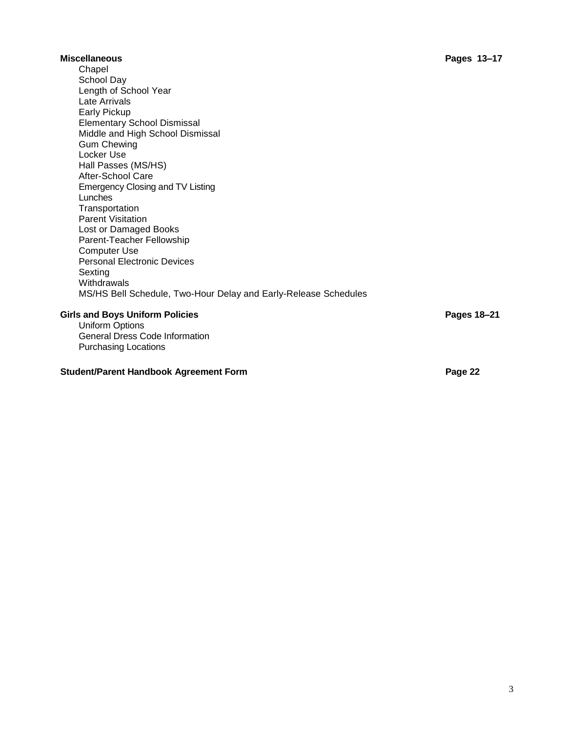#### **Miscellaneous Pages 13–17** Chapel School Day Length of School Year Late Arrivals Early Pickup Elementary School Dismissal Middle and High School Dismissal Gum Chewing Locker Use Hall Passes (MS/HS) After-School Care Emergency Closing and TV Listing Lunches **Transportation** Parent Visitation Lost or Damaged Books Parent-Teacher Fellowship Computer Use Personal Electronic Devices Sexting **Withdrawals** MS/HS Bell Schedule, Two-Hour Delay and Early-Release Schedules **Girls and Boys Uniform Policies Pages 18–21** Uniform Options General Dress Code Information

Purchasing Locations

# **Student/Parent Handbook Agreement Form <b>Page** 22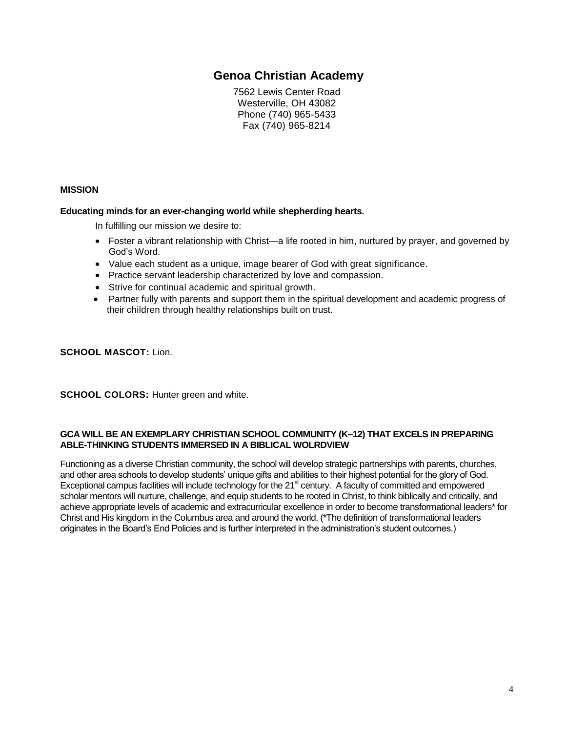# **Genoa Christian Academy**

7562 Lewis Center Road Westerville, OH 43082 Phone (740) 965-5433 Fax (740) 965-8214

# **MISSION**

## **Educating minds for an ever-changing world while shepherding hearts.**

In fulfilling our mission we desire to:

- Foster a vibrant relationship with Christ—a life rooted in him, nurtured by prayer, and governed by God's Word.
- Value each student as a unique, image bearer of God with great significance.
- Practice servant leadership characterized by love and compassion.
- Strive for continual academic and spiritual growth.
- Partner fully with parents and support them in the spiritual development and academic progress of their children through healthy relationships built on trust.

**SCHOOL MASCOT:** Lion.

**SCHOOL COLORS: Hunter green and white.** 

## **GCA WILL BE AN EXEMPLARY CHRISTIAN SCHOOL COMMUNITY (K–12) THAT EXCELS IN PREPARING ABLE-THINKING STUDENTS IMMERSED IN A BIBLICAL WOLRDVIEW**

Functioning as a diverse Christian community, the school will develop strategic partnerships with parents, churches, and other area schools to develop students' unique gifts and abilities to their highest potential for the glory of God. Exceptional campus facilities will include technology for the 21<sup>st</sup> century. A faculty of committed and empowered scholar mentors will nurture, challenge, and equip students to be rooted in Christ, to think biblically and critically, and achieve appropriate levels of academic and extracurricular excellence in order to become transformational leaders\* for Christ and His kingdom in the Columbus area and around the world. (\*The definition of transformational leaders originates in the Board's End Policies and is further interpreted in the administration's student outcomes.)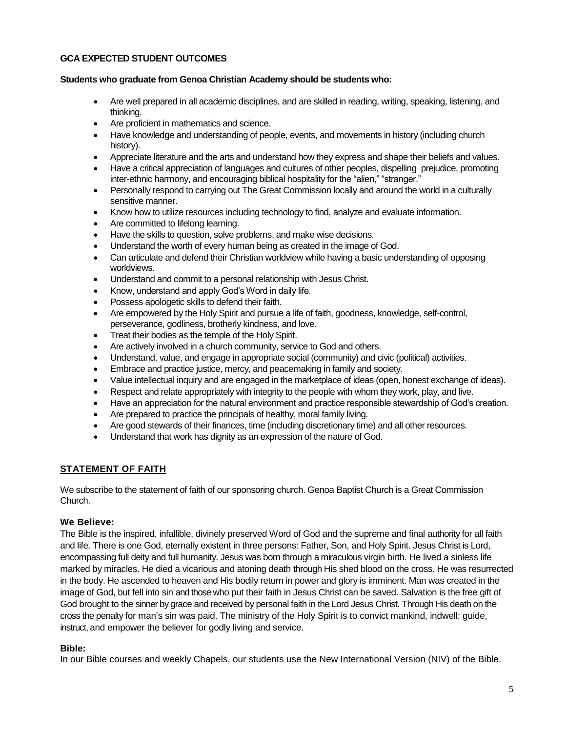# **GCA EXPECTED STUDENT OUTCOMES**

#### **Students who graduate from Genoa Christian Academy should be students who:**

- Are well prepared in all academic disciplines, and are skilled in reading, writing, speaking, listening, and thinking.
- Are proficient in mathematics and science.
- Have knowledge and understanding of people, events, and movements in history (including church history).
- Appreciate literature and the arts and understand how they express and shape their beliefs and values.
- Have a critical appreciation of languages and cultures of other peoples, dispelling prejudice, promoting inter-ethnic harmony, and encouraging biblical hospitality for the "alien," "stranger."
- Personally respond to carrying out The Great Commission locally and around the world in a culturally sensitive manner.
- Know how to utilize resources including technology to find, analyze and evaluate information.
- Are committed to lifelong learning.
- Have the skills to question, solve problems, and make wise decisions.
- Understand the worth of every human being as created in the image of God.
- Can articulate and defend their Christian worldview while having a basic understanding of opposing worldviews.
- Understand and commit to a personal relationship with Jesus Christ.
- Know, understand and apply God's Word in daily life.
- Possess apologetic skills to defend their faith.
- Are empowered by the Holy Spirit and pursue a life of faith, goodness, knowledge, self-control, perseverance, godliness, brotherly kindness, and love.
- Treat their bodies as the temple of the Holy Spirit.
- Are actively involved in a church community, service to God and others.
- Understand, value, and engage in appropriate social (community) and civic (political) activities.
- Embrace and practice justice, mercy, and peacemaking in family and society.
- Value intellectual inquiry and are engaged in the marketplace of ideas (open, honest exchange of ideas).
- Respect and relate appropriately with integrity to the people with whom they work, play, and live.
- Have an appreciation for the natural environment and practice responsible stewardship of God's creation.
- Are prepared to practice the principals of healthy, moral family living.
- Are good stewards of their finances, time (including discretionary time) and all other resources.
- Understand that work has dignity as an expression of the nature of God.

# **STATEMENT OF FAITH**

We subscribe to the statement of faith of our sponsoring church. Genoa Baptist Church is a Great Commission Church.

#### **We Believe:**

The Bible is the inspired, infallible, divinely preserved Word of God and the supreme and final authority for all faith and life. There is one God, eternally existent in three persons: Father, Son, and Holy Spirit. Jesus Christ is Lord, encompassing full deity and full humanity. Jesus was born through a miraculous virgin birth. He lived a sinless life marked by miracles. He died a vicarious and atoning death through His shed blood on the cross. He was resurrected in the body. He ascended to heaven and His bodily return in power and glory is imminent. Man was created in the image of God, but fell into sin and those who put their faith in Jesus Christ can be saved. Salvation is the free gift of God brought to the sinner by grace and received by personal faith in the Lord Jesus Christ. Through His death on the cross the penalty for man's sin was paid. The ministry of the Holy Spirit is to convict mankind, indwell; guide, instruct, and empower the believer for godly living and service.

#### **Bible:**

In our Bible courses and weekly Chapels, our students use the New International Version (NIV) of the Bible.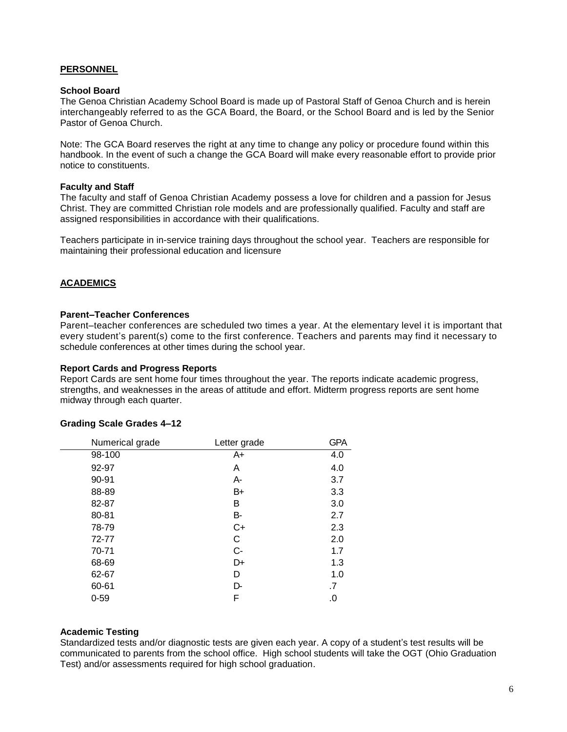# **PERSONNEL**

#### **School Board**

The Genoa Christian Academy School Board is made up of Pastoral Staff of Genoa Church and is herein interchangeably referred to as the GCA Board, the Board, or the School Board and is led by the Senior Pastor of Genoa Church.

Note: The GCA Board reserves the right at any time to change any policy or procedure found within this handbook. In the event of such a change the GCA Board will make every reasonable effort to provide prior notice to constituents.

#### **Faculty and Staff**

The faculty and staff of Genoa Christian Academy possess a love for children and a passion for Jesus Christ. They are committed Christian role models and are professionally qualified. Faculty and staff are assigned responsibilities in accordance with their qualifications.

Teachers participate in in-service training days throughout the school year. Teachers are responsible for maintaining their professional education and licensure

# **ACADEMICS**

## **Parent–Teacher Conferences**

Parent–teacher conferences are scheduled two times a year. At the elementary level it is important that every student's parent(s) come to the first conference. Teachers and parents may find it necessary to schedule conferences at other times during the school year.

#### **Report Cards and Progress Reports**

Report Cards are sent home four times throughout the year. The reports indicate academic progress, strengths, and weaknesses in the areas of attitude and effort. Midterm progress reports are sent home midway through each quarter.

#### **Grading Scale Grades 4–12**

| Numerical grade | Letter grade | <b>GPA</b> |
|-----------------|--------------|------------|
| 98-100          | A+           | 4.0        |
| 92-97           | Α            | 4.0        |
| 90-91           | A-           | 3.7        |
| 88-89           | B+           | 3.3        |
| 82-87           | В            | 3.0        |
| 80-81           | В-           | 2.7        |
| 78-79           | C+           | 2.3        |
| 72-77           | С            | 2.0        |
| 70-71           | $C-$         | 1.7        |
| 68-69           | D+           | 1.3        |
| 62-67           | D            | 1.0        |
| 60-61           | D-           | .7         |
| $0 - 59$        | F            | .0         |

#### **Academic Testing**

Standardized tests and/or diagnostic tests are given each year. A copy of a student's test results will be communicated to parents from the school office. High school students will take the OGT (Ohio Graduation Test) and/or assessments required for high school graduation.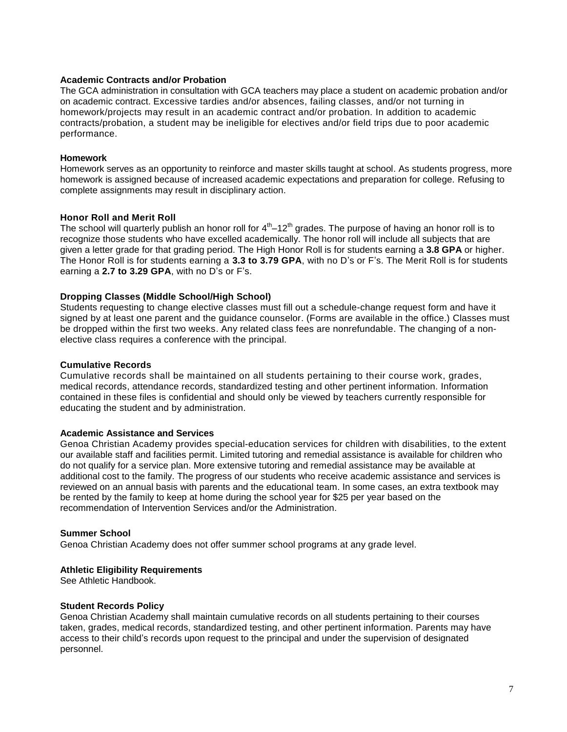#### **Academic Contracts and/or Probation**

The GCA administration in consultation with GCA teachers may place a student on academic probation and/or on academic contract. Excessive tardies and/or absences, failing classes, and/or not turning in homework/projects may result in an academic contract and/or probation. In addition to academic contracts/probation, a student may be ineligible for electives and/or field trips due to poor academic performance.

#### **Homework**

Homework serves as an opportunity to reinforce and master skills taught at school. As students progress, more homework is assigned because of increased academic expectations and preparation for college. Refusing to complete assignments may result in disciplinary action.

#### **Honor Roll and Merit Roll**

The school will quarterly publish an honor roll for  $4<sup>th</sup>-12<sup>th</sup>$  grades. The purpose of having an honor roll is to recognize those students who have excelled academically. The honor roll will include all subjects that are given a letter grade for that grading period. The High Honor Roll is for students earning a **3.8 GPA** or higher. The Honor Roll is for students earning a **3.3 to 3.79 GPA**, with no D's or F's. The Merit Roll is for students earning a **2.7 to 3.29 GPA**, with no D's or F's.

## **Dropping Classes (Middle School/High School)**

Students requesting to change elective classes must fill out a schedule-change request form and have it signed by at least one parent and the guidance counselor. (Forms are available in the office.) Classes must be dropped within the first two weeks. Any related class fees are nonrefundable. The changing of a nonelective class requires a conference with the principal.

#### **Cumulative Records**

Cumulative records shall be maintained on all students pertaining to their course work, grades, medical records, attendance records, standardized testing and other pertinent information. Information contained in these files is confidential and should only be viewed by teachers currently responsible for educating the student and by administration.

#### **Academic Assistance and Services**

Genoa Christian Academy provides special-education services for children with disabilities, to the extent our available staff and facilities permit. Limited tutoring and remedial assistance is available for children who do not qualify for a service plan. More extensive tutoring and remedial assistance may be available at additional cost to the family. The progress of our students who receive academic assistance and services is reviewed on an annual basis with parents and the educational team. In some cases, an extra textbook may be rented by the family to keep at home during the school year for \$25 per year based on the recommendation of Intervention Services and/or the Administration.

#### **Summer School**

Genoa Christian Academy does not offer summer school programs at any grade level.

#### **Athletic Eligibility Requirements**

See Athletic Handbook.

#### **Student Records Policy**

Genoa Christian Academy shall maintain cumulative records on all students pertaining to their courses taken, grades, medical records, standardized testing, and other pertinent information. Parents may have access to their child's records upon request to the principal and under the supervision of designated personnel.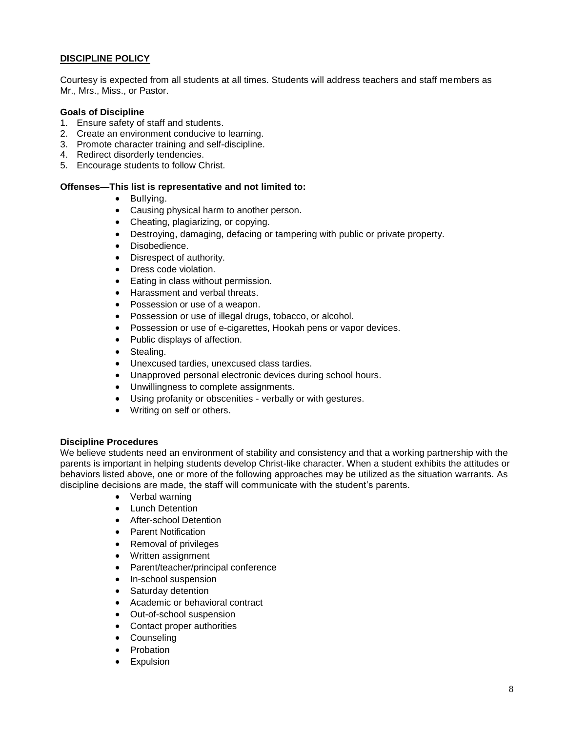# **DISCIPLINE POLICY**

Courtesy is expected from all students at all times. Students will address teachers and staff members as Mr., Mrs., Miss., or Pastor.

#### **Goals of Discipline**

- 1. Ensure safety of staff and students.
- 2. Create an environment conducive to learning.
- 3. Promote character training and self-discipline.
- 4. Redirect disorderly tendencies.
- 5. Encourage students to follow Christ.

#### **Offenses—This list is representative and not limited to:**

- Bullying.
- Causing physical harm to another person.
- Cheating, plagiarizing, or copying.
- Destroying, damaging, defacing or tampering with public or private property.
- Disobedience.
- Disrespect of authority.
- Dress code violation.
- Eating in class without permission.
- Harassment and verbal threats.
- Possession or use of a weapon.
- Possession or use of illegal drugs, tobacco, or alcohol.
- Possession or use of e-cigarettes, Hookah pens or vapor devices.
- Public displays of affection.
- Stealing.
- Unexcused tardies, unexcused class tardies.
- Unapproved personal electronic devices during school hours.
- Unwillingness to complete assignments.
- Using profanity or obscenities verbally or with gestures.
- Writing on self or others.

#### **Discipline Procedures**

We believe students need an environment of stability and consistency and that a working partnership with the parents is important in helping students develop Christ-like character. When a student exhibits the attitudes or behaviors listed above, one or more of the following approaches may be utilized as the situation warrants. As discipline decisions are made, the staff will communicate with the student's parents.

- Verbal warning
- Lunch Detention
- **•** After-school Detention
- Parent Notification
- Removal of privileges
- Written assignment
- Parent/teacher/principal conference
- In-school suspension
- Saturday detention
- Academic or behavioral contract
- Out-of-school suspension
- Contact proper authorities
- Counseling
- Probation
- **•** Expulsion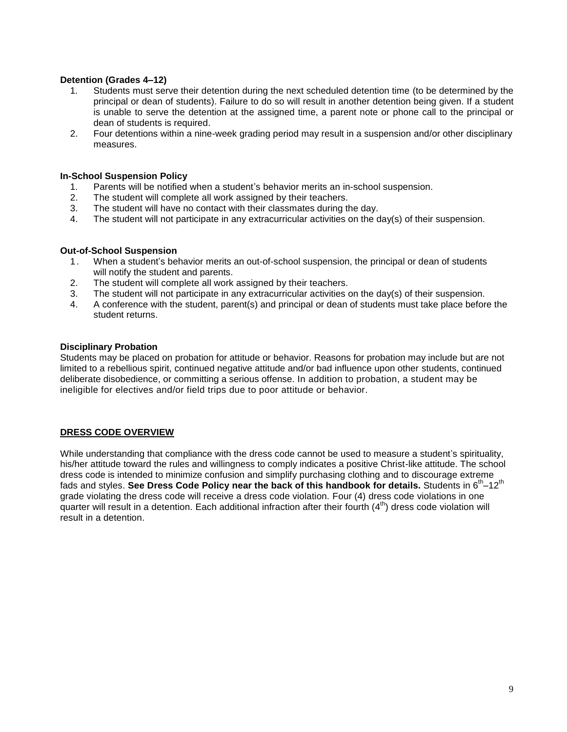# **Detention (Grades 4–12)**

- 1. Students must serve their detention during the next scheduled detention time (to be determined by the principal or dean of students). Failure to do so will result in another detention being given. If a student is unable to serve the detention at the assigned time, a parent note or phone call to the principal or dean of students is required.
- 2. Four detentions within a nine-week grading period may result in a suspension and/or other disciplinary measures.

#### **In-School Suspension Policy**

- 1. Parents will be notified when a student's behavior merits an in-school suspension.
- 2. The student will complete all work assigned by their teachers.
- 3. The student will have no contact with their classmates during the day.
- 4. The student will not participate in any extracurricular activities on the day(s) of their suspension.

## **Out-of-School Suspension**

- 1. When a student's behavior merits an out-of-school suspension, the principal or dean of students will notify the student and parents.
- 2. The student will complete all work assigned by their teachers.
- 3. The student will not participate in any extracurricular activities on the day(s) of their suspension.
- 4. A conference with the student, parent(s) and principal or dean of students must take place before the student returns.

#### **Disciplinary Probation**

Students may be placed on probation for attitude or behavior. Reasons for probation may include but are not limited to a rebellious spirit, continued negative attitude and/or bad influence upon other students, continued deliberate disobedience, or committing a serious offense. In addition to probation, a student may be ineligible for electives and/or field trips due to poor attitude or behavior.

# **DRESS CODE OVERVIEW**

While understanding that compliance with the dress code cannot be used to measure a student's spirituality, his/her attitude toward the rules and willingness to comply indicates a positive Christ-like attitude. The school dress code is intended to minimize confusion and simplify purchasing clothing and to discourage extreme fads and styles. See Dress Code Policy near the back of this handbook for details. Students in 6<sup>th</sup>-12<sup>th</sup> grade violating the dress code will receive a dress code violation. Four (4) dress code violations in one quarter will result in a detention. Each additional infraction after their fourth  $(4<sup>th</sup>)$  dress code violation will result in a detention.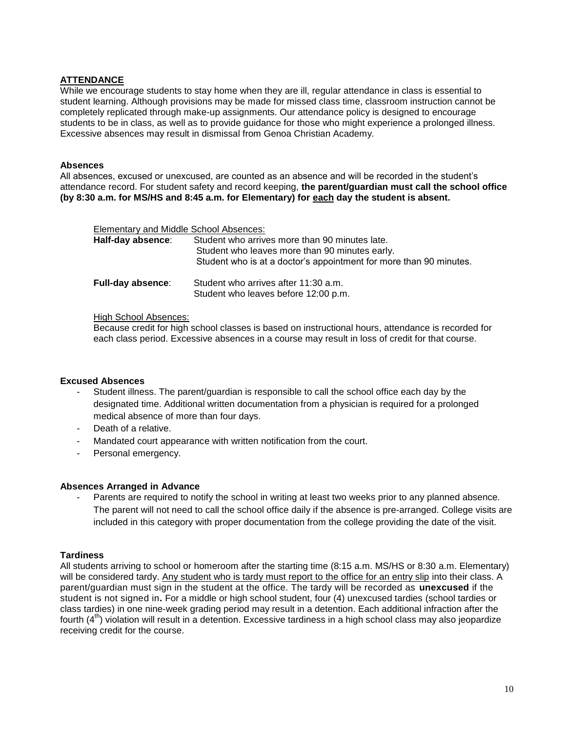# **ATTENDANCE**

While we encourage students to stay home when they are ill, regular attendance in class is essential to student learning. Although provisions may be made for missed class time, classroom instruction cannot be completely replicated through make-up assignments. Our attendance policy is designed to encourage students to be in class, as well as to provide guidance for those who might experience a prolonged illness. Excessive absences may result in dismissal from Genoa Christian Academy.

# **Absences**

All absences, excused or unexcused, are counted as an absence and will be recorded in the student's attendance record. For student safety and record keeping, **the parent/guardian must call the school office (by 8:30 a.m. for MS/HS and 8:45 a.m. for Elementary) for each day the student is absent.**

| Elementary and Middle School Absences: |                                                                                                  |  |
|----------------------------------------|--------------------------------------------------------------------------------------------------|--|
| Half-day absence:                      | Student who arrives more than 90 minutes late.<br>Student who leaves more than 90 minutes early. |  |
|                                        | Student who is at a doctor's appointment for more than 90 minutes.                               |  |
| <b>Full-day absence:</b>               | Student who arrives after 11:30 a.m.<br>Student who leaves before 12:00 p.m.                     |  |

## High School Absences:

Because credit for high school classes is based on instructional hours, attendance is recorded for each class period. Excessive absences in a course may result in loss of credit for that course.

# **Excused Absences**

- Student illness. The parent/guardian is responsible to call the school office each day by the designated time. Additional written documentation from a physician is required for a prolonged medical absence of more than four days.
- Death of a relative.
- Mandated court appearance with written notification from the court.
- Personal emergency.

# **Absences Arranged in Advance**

Parents are required to notify the school in writing at least two weeks prior to any planned absence. The parent will not need to call the school office daily if the absence is pre-arranged. College visits are included in this category with proper documentation from the college providing the date of the visit.

# **Tardiness**

All students arriving to school or homeroom after the starting time (8:15 a.m. MS/HS or 8:30 a.m. Elementary) will be considered tardy. Any student who is tardy must report to the office for an entry slip into their class. A parent/guardian must sign in the student at the office. The tardy will be recorded as **unexcused** if the student is not signed in**.** For a middle or high school student, four (4) unexcused tardies (school tardies or class tardies) in one nine-week grading period may result in a detention. Each additional infraction after the fourth  $(4<sup>th</sup>)$  violation will result in a detention. Excessive tardiness in a high school class may also jeopardize receiving credit for the course.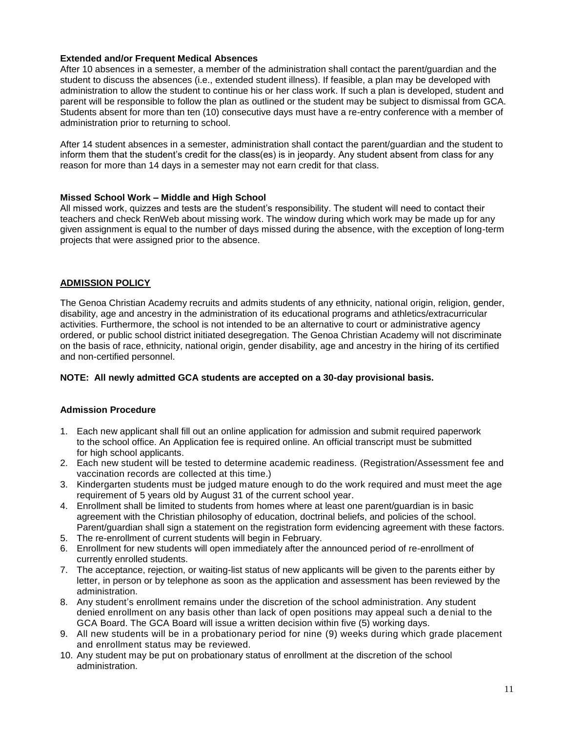# **Extended and/or Frequent Medical Absences**

After 10 absences in a semester, a member of the administration shall contact the parent/guardian and the student to discuss the absences (i.e., extended student illness). If feasible, a plan may be developed with administration to allow the student to continue his or her class work. If such a plan is developed, student and parent will be responsible to follow the plan as outlined or the student may be subject to dismissal from GCA. Students absent for more than ten (10) consecutive days must have a re-entry conference with a member of administration prior to returning to school.

After 14 student absences in a semester, administration shall contact the parent/guardian and the student to inform them that the student's credit for the class(es) is in jeopardy. Any student absent from class for any reason for more than 14 days in a semester may not earn credit for that class.

## **Missed School Work – Middle and High School**

All missed work, quizzes and tests are the student's responsibility. The student will need to contact their teachers and check RenWeb about missing work. The window during which work may be made up for any given assignment is equal to the number of days missed during the absence, with the exception of long-term projects that were assigned prior to the absence.

# **ADMISSION POLICY**

The Genoa Christian Academy recruits and admits students of any ethnicity, national origin, religion, gender, disability, age and ancestry in the administration of its educational programs and athletics/extracurricular activities. Furthermore, the school is not intended to be an alternative to court or administrative agency ordered, or public school district initiated desegregation. The Genoa Christian Academy will not discriminate on the basis of race, ethnicity, national origin, gender disability, age and ancestry in the hiring of its certified and non-certified personnel.

#### **NOTE: All newly admitted GCA students are accepted on a 30-day provisional basis.**

# **Admission Procedure**

- 1. Each new applicant shall fill out an online application for admission and submit required paperwork to the school office. An Application fee is required online. An official transcript must be submitted for high school applicants.
- 2. Each new student will be tested to determine academic readiness. (Registration/Assessment fee and vaccination records are collected at this time.)
- 3. Kindergarten students must be judged mature enough to do the work required and must meet the age requirement of 5 years old by August 31 of the current school year.
- 4. Enrollment shall be limited to students from homes where at least one parent/guardian is in basic agreement with the Christian philosophy of education, doctrinal beliefs, and policies of the school. Parent/guardian shall sign a statement on the registration form evidencing agreement with these factors.
- 5. The re-enrollment of current students will begin in February.
- 6. Enrollment for new students will open immediately after the announced period of re-enrollment of currently enrolled students.
- 7. The acceptance, rejection, or waiting-list status of new applicants will be given to the parents either by letter, in person or by telephone as soon as the application and assessment has been reviewed by the administration.
- 8. Any student's enrollment remains under the discretion of the school administration. Any student denied enrollment on any basis other than lack of open positions may appeal such a denial to the GCA Board. The GCA Board will issue a written decision within five (5) working days.
- 9. All new students will be in a probationary period for nine (9) weeks during which grade placement and enrollment status may be reviewed.
- 10. Any student may be put on probationary status of enrollment at the discretion of the school administration.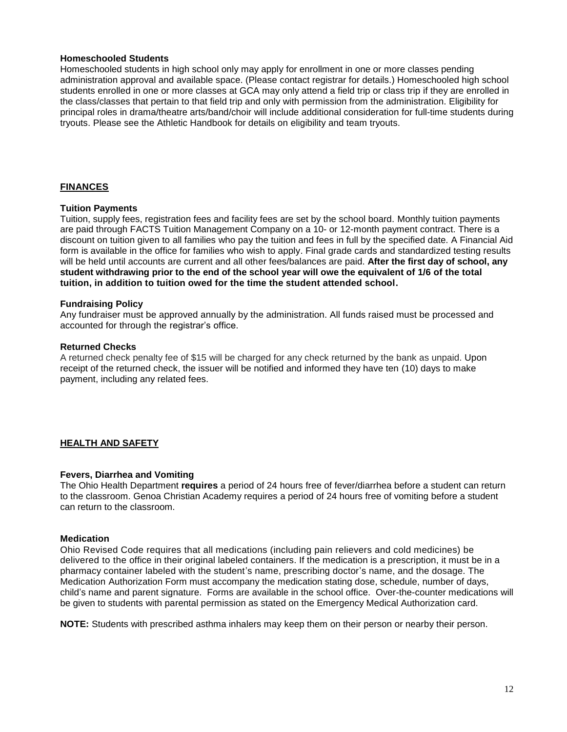#### **Homeschooled Students**

Homeschooled students in high school only may apply for enrollment in one or more classes pending administration approval and available space. (Please contact registrar for details.) Homeschooled high school students enrolled in one or more classes at GCA may only attend a field trip or class trip if they are enrolled in the class/classes that pertain to that field trip and only with permission from the administration. Eligibility for principal roles in drama/theatre arts/band/choir will include additional consideration for full-time students during tryouts. Please see the Athletic Handbook for details on eligibility and team tryouts.

# **FINANCES**

# **Tuition Payments**

Tuition, supply fees, registration fees and facility fees are set by the school board. Monthly tuition payments are paid through FACTS Tuition Management Company on a 10- or 12-month payment contract. There is a discount on tuition given to all families who pay the tuition and fees in full by the specified date. A Financial Aid form is available in the office for families who wish to apply. Final grade cards and standardized testing results will be held until accounts are current and all other fees/balances are paid. **After the first day of school, any student withdrawing prior to the end of the school year will owe the equivalent of 1/6 of the total tuition, in addition to tuition owed for the time the student attended school.**

## **Fundraising Policy**

Any fundraiser must be approved annually by the administration. All funds raised must be processed and accounted for through the registrar's office.

#### **Returned Checks**

A returned check penalty fee of \$15 will be charged for any check returned by the bank as unpaid. Upon receipt of the returned check, the issuer will be notified and informed they have ten (10) days to make payment, including any related fees.

# **HEALTH AND SAFETY**

#### **Fevers, Diarrhea and Vomiting**

The Ohio Health Department **requires** a period of 24 hours free of fever/diarrhea before a student can return to the classroom. Genoa Christian Academy requires a period of 24 hours free of vomiting before a student can return to the classroom.

#### **Medication**

Ohio Revised Code requires that all medications (including pain relievers and cold medicines) be delivered to the office in their original labeled containers. If the medication is a prescription, it must be in a pharmacy container labeled with the student's name, prescribing doctor's name, and the dosage. The Medication Authorization Form must accompany the medication stating dose, schedule, number of days, child's name and parent signature. Forms are available in the school office. Over-the-counter medications will be given to students with parental permission as stated on the Emergency Medical Authorization card.

**NOTE:** Students with prescribed asthma inhalers may keep them on their person or nearby their person.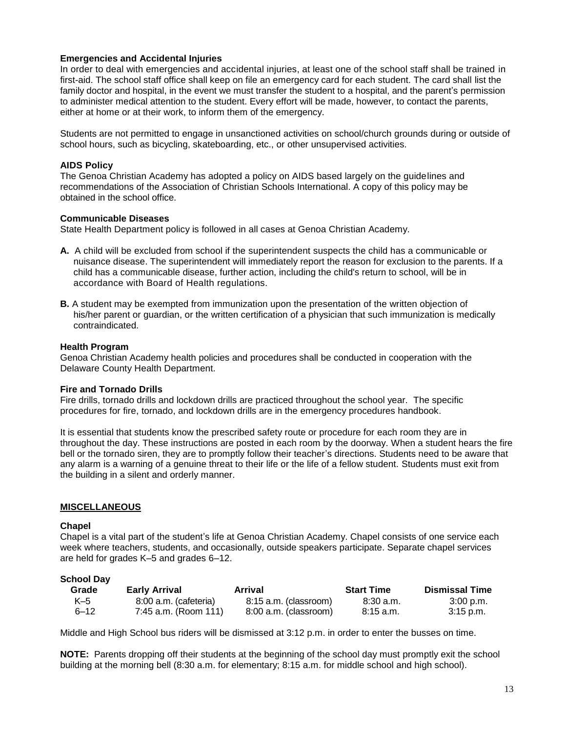## **Emergencies and Accidental Injuries**

In order to deal with emergencies and accidental injuries, at least one of the school staff shall be trained in first-aid. The school staff office shall keep on file an emergency card for each student. The card shall list the family doctor and hospital, in the event we must transfer the student to a hospital, and the parent's permission to administer medical attention to the student. Every effort will be made, however, to contact the parents, either at home or at their work, to inform them of the emergency.

Students are not permitted to engage in unsanctioned activities on school/church grounds during or outside of school hours, such as bicycling, skateboarding, etc., or other unsupervised activities.

#### **AIDS Policy**

The Genoa Christian Academy has adopted a policy on AIDS based largely on the guidelines and recommendations of the Association of Christian Schools International. A copy of this policy may be obtained in the school office.

#### **Communicable Diseases**

State Health Department policy is followed in all cases at Genoa Christian Academy.

- **A.** A child will be excluded from school if the superintendent suspects the child has a communicable or nuisance disease. The superintendent will immediately report the reason for exclusion to the parents. If a child has a communicable disease, further action, including the child's return to school, will be in accordance with Board of Health regulations.
- **B.** A student may be exempted from immunization upon the presentation of the written objection of his/her parent or guardian, or the written certification of a physician that such immunization is medically contraindicated.

#### **Health Program**

Genoa Christian Academy health policies and procedures shall be conducted in cooperation with the Delaware County Health Department.

#### **Fire and Tornado Drills**

Fire drills, tornado drills and lockdown drills are practiced throughout the school year. The specific procedures for fire, tornado, and lockdown drills are in the emergency procedures handbook.

It is essential that students know the prescribed safety route or procedure for each room they are in throughout the day. These instructions are posted in each room by the doorway. When a student hears the fire bell or the tornado siren, they are to promptly follow their teacher's directions. Students need to be aware that any alarm is a warning of a genuine threat to their life or the life of a fellow student. Students must exit from the building in a silent and orderly manner.

#### **MISCELLANEOUS**

#### **Chapel**

Chapel is a vital part of the student's life at Genoa Christian Academy. Chapel consists of one service each week where teachers, students, and occasionally, outside speakers participate. Separate chapel services are held for grades K–5 and grades 6–12.

# **School Day**

| Grade    | <b>Early Arrival</b>  | Arrival               | <b>Start Time</b> | <b>Dismissal Time</b> |
|----------|-----------------------|-----------------------|-------------------|-----------------------|
| K–5      | 8:00 a.m. (cafeteria) | 8:15 a.m. (classroom) | .8:30 a.m.        | 3:00 p.m.             |
| $6 - 12$ | 7:45 a.m. (Room 111)  | 8:00 a.m. (classroom) | 8:15 a.m.         | 3:15 p.m.             |

Middle and High School bus riders will be dismissed at 3:12 p.m. in order to enter the busses on time.

**NOTE:** Parents dropping off their students at the beginning of the school day must promptly exit the school building at the morning bell (8:30 a.m. for elementary; 8:15 a.m. for middle school and high school).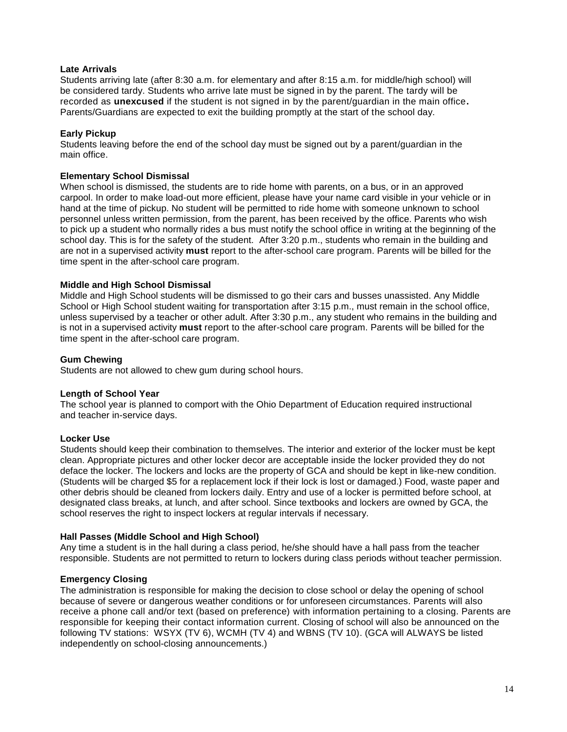## **Late Arrivals**

Students arriving late (after 8:30 a.m. for elementary and after 8:15 a.m. for middle/high school) will be considered tardy. Students who arrive late must be signed in by the parent. The tardy will be recorded as **unexcused** if the student is not signed in by the parent/guardian in the main office**.** Parents/Guardians are expected to exit the building promptly at the start of the school day.

## **Early Pickup**

Students leaving before the end of the school day must be signed out by a parent/guardian in the main office.

#### **Elementary School Dismissal**

When school is dismissed, the students are to ride home with parents, on a bus, or in an approved carpool. In order to make load-out more efficient, please have your name card visible in your vehicle or in hand at the time of pickup. No student will be permitted to ride home with someone unknown to school personnel unless written permission, from the parent, has been received by the office. Parents who wish to pick up a student who normally rides a bus must notify the school office in writing at the beginning of the school day. This is for the safety of the student. After 3:20 p.m., students who remain in the building and are not in a supervised activity **must** report to the after-school care program. Parents will be billed for the time spent in the after-school care program.

## **Middle and High School Dismissal**

Middle and High School students will be dismissed to go their cars and busses unassisted. Any Middle School or High School student waiting for transportation after 3:15 p.m., must remain in the school office, unless supervised by a teacher or other adult. After 3:30 p.m., any student who remains in the building and is not in a supervised activity **must** report to the after-school care program. Parents will be billed for the time spent in the after-school care program.

## **Gum Chewing**

Students are not allowed to chew gum during school hours.

#### **Length of School Year**

The school year is planned to comport with the Ohio Department of Education required instructional and teacher in-service days.

#### **Locker Use**

Students should keep their combination to themselves. The interior and exterior of the locker must be kept clean. Appropriate pictures and other locker decor are acceptable inside the locker provided they do not deface the locker. The lockers and locks are the property of GCA and should be kept in like-new condition. (Students will be charged \$5 for a replacement lock if their lock is lost or damaged.) Food, waste paper and other debris should be cleaned from lockers daily. Entry and use of a locker is permitted before school, at designated class breaks, at lunch, and after school. Since textbooks and lockers are owned by GCA, the school reserves the right to inspect lockers at regular intervals if necessary.

# **Hall Passes (Middle School and High School)**

Any time a student is in the hall during a class period, he/she should have a hall pass from the teacher responsible. Students are not permitted to return to lockers during class periods without teacher permission.

#### **Emergency Closing**

The administration is responsible for making the decision to close school or delay the opening of school because of severe or dangerous weather conditions or for unforeseen circumstances. Parents will also receive a phone call and/or text (based on preference) with information pertaining to a closing. Parents are responsible for keeping their contact information current. Closing of school will also be announced on the following TV stations: WSYX (TV 6), WCMH (TV 4) and WBNS (TV 10). (GCA will ALWAYS be listed independently on school-closing announcements.)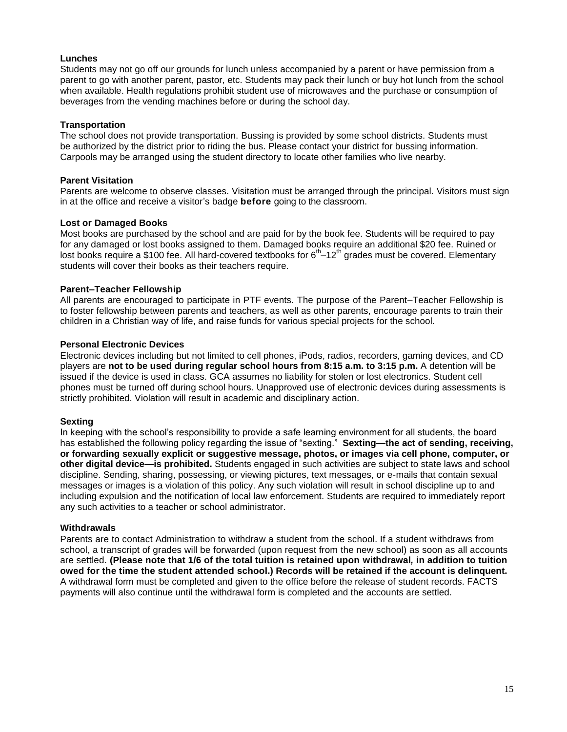# **Lunches**

Students may not go off our grounds for lunch unless accompanied by a parent or have permission from a parent to go with another parent, pastor, etc. Students may pack their lunch or buy hot lunch from the school when available. Health regulations prohibit student use of microwaves and the purchase or consumption of beverages from the vending machines before or during the school day.

#### **Transportation**

The school does not provide transportation. Bussing is provided by some school districts. Students must be authorized by the district prior to riding the bus. Please contact your district for bussing information. Carpools may be arranged using the student directory to locate other families who live nearby.

#### **Parent Visitation**

Parents are welcome to observe classes. Visitation must be arranged through the principal. Visitors must sign in at the office and receive a visitor's badge **before** going to the classroom.

## **Lost or Damaged Books**

Most books are purchased by the school and are paid for by the book fee. Students will be required to pay for any damaged or lost books assigned to them. Damaged books require an additional \$20 fee. Ruined or lost books require a \$100 fee. All hard-covered textbooks for 6<sup>th</sup> –12<sup>th</sup> grades must be covered. Elementary students will cover their books as their teachers require.

# **Parent–Teacher Fellowship**

All parents are encouraged to participate in PTF events. The purpose of the Parent–Teacher Fellowship is to foster fellowship between parents and teachers, as well as other parents, encourage parents to train their children in a Christian way of life, and raise funds for various special projects for the school.

## **Personal Electronic Devices**

Electronic devices including but not limited to cell phones, iPods, radios, recorders, gaming devices, and CD players are **not to be used during regular school hours from 8:15 a.m. to 3:15 p.m.** A detention will be issued if the device is used in class. GCA assumes no liability for stolen or lost electronics. Student cell phones must be turned off during school hours. Unapproved use of electronic devices during assessments is strictly prohibited. Violation will result in academic and disciplinary action.

#### **Sexting**

In keeping with the school's responsibility to provide a safe learning environment for all students, the board has established the following policy regarding the issue of "sexting." **Sexting—the act of sending, receiving, or forwarding sexually explicit or suggestive message, photos, or images via cell phone, computer, or other digital device—is prohibited.** Students engaged in such activities are subject to state laws and school discipline. Sending, sharing, possessing, or viewing pictures, text messages, or e-mails that contain sexual messages or images is a violation of this policy. Any such violation will result in school discipline up to and including expulsion and the notification of local law enforcement. Students are required to immediately report any such activities to a teacher or school administrator.

# **Withdrawals**

Parents are to contact Administration to withdraw a student from the school. If a student withdraws from school, a transcript of grades will be forwarded (upon request from the new school) as soon as all accounts are settled. **(Please note that 1/6 of the total tuition is retained upon withdrawal***,* **in addition to tuition owed for the time the student attended school.) Records will be retained if the account is delinquent.** A withdrawal form must be completed and given to the office before the release of student records. FACTS payments will also continue until the withdrawal form is completed and the accounts are settled.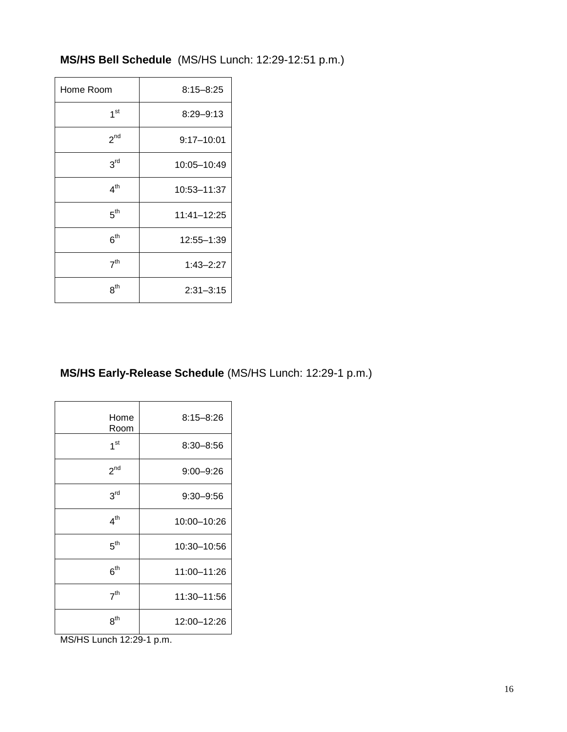# **MS/HS Bell Schedule** (MS/HS Lunch: 12:29-12:51 p.m.)

| Home Room       | $8:15 - 8:25$  |
|-----------------|----------------|
| 1 <sup>st</sup> | $8:29 - 9:13$  |
| 2 <sup>nd</sup> | $9:17 - 10:01$ |
| 3 <sup>rd</sup> | 10:05-10:49    |
| 4 <sup>th</sup> | 10:53-11:37    |
| $5^{\text{th}}$ | 11:41-12:25    |
| $6^{\text{th}}$ | 12:55-1:39     |
| 7 <sup>th</sup> | $1:43 - 2:27$  |
| 8 <sup>th</sup> | $2:31 - 3:15$  |

# **MS/HS Early-Release Schedule** (MS/HS Lunch: 12:29-1 p.m.)

| Home<br>Room    | $8:15 - 8:26$ |
|-----------------|---------------|
| 1 <sup>st</sup> | $8:30 - 8:56$ |
| $2^{nd}$        | $9:00 - 9:26$ |
| 3 <sup>rd</sup> | $9:30 - 9:56$ |
| 4 <sup>th</sup> | 10:00-10:26   |
| 5 <sup>th</sup> | 10:30-10:56   |
| 6 <sup>th</sup> | 11:00-11:26   |
| 7 <sup>th</sup> | 11:30-11:56   |
| $8^{\sf th}$    | 12:00-12:26   |

MS/HS Lunch 12:29-1 p.m.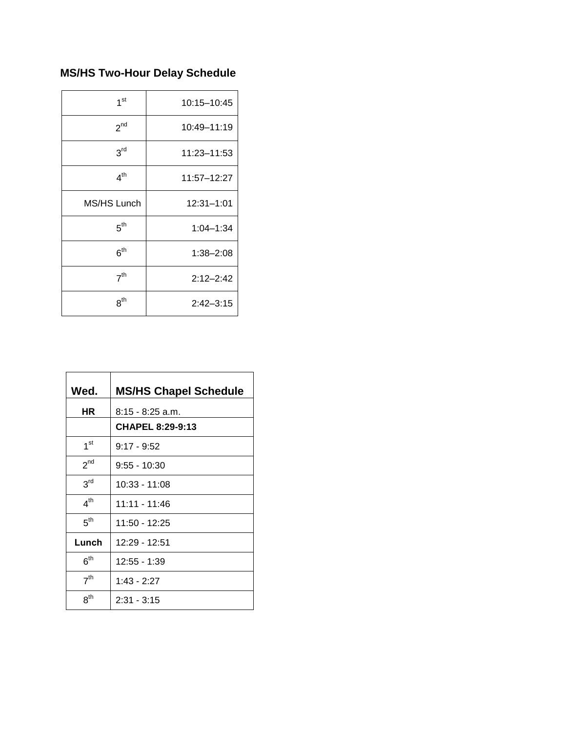# **MS/HS Two-Hour Delay Schedule**

| 1 <sup>st</sup> | 10:15-10:45   |
|-----------------|---------------|
| 2 <sup>nd</sup> | 10:49-11:19   |
| 3 <sup>rd</sup> | 11:23-11:53   |
| $4^{\text{th}}$ | 11:57-12:27   |
| MS/HS Lunch     | 12:31-1:01    |
| 5 <sup>th</sup> | $1:04 - 1:34$ |
| 6 <sup>th</sup> | $1:38 - 2:08$ |
| 7 <sup>th</sup> | $2:12 - 2:42$ |
| 8 <sup>th</sup> | $2:42 - 3:15$ |

| Wed.            | <b>MS/HS Chapel Schedule</b> |
|-----------------|------------------------------|
| <b>HR</b>       | 8:15 - 8:25 a.m.             |
|                 | <b>CHAPEL 8:29-9:13</b>      |
| 1 <sup>st</sup> | $9:17 - 9:52$                |
| 2 <sup>nd</sup> | $9:55 - 10:30$               |
| 3 <sup>rd</sup> | 10:33 - 11:08                |
| 4 <sup>th</sup> | 11:11 - 11:46                |
| 5 <sup>th</sup> | $11:50 - 12:25$              |
| Lunch           | 12:29 - 12:51                |
| 6 <sup>th</sup> | $12:55 - 1:39$               |
| 7 <sup>th</sup> | $1:43 - 2:27$                |
| $8^{\sf th}$    | $2:31 - 3:15$                |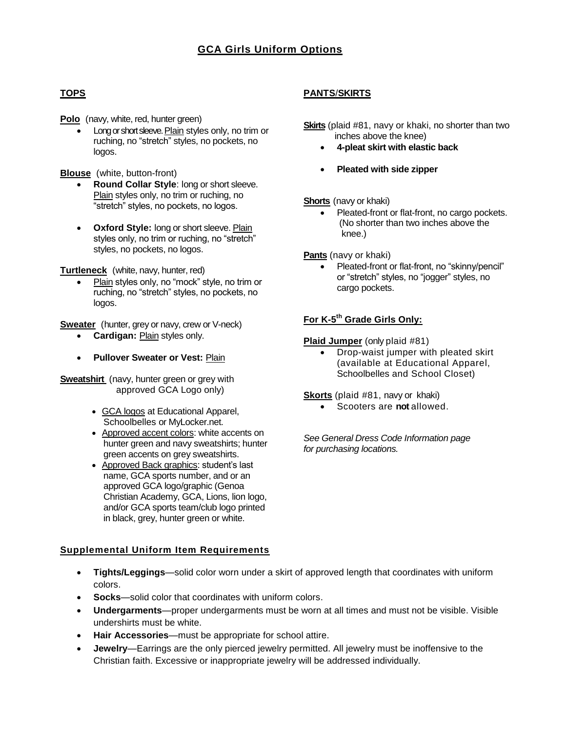# **TOPS**

**Polo** (navy, white, red, hunter green)

 Long or short sleeve. Plain styles only, no trim or ruching, no "stretch" styles, no pockets, no logos.

**Blouse** (white, button-front)

- **Round Collar Style**: long or short sleeve. Plain styles only, no trim or ruching, no "stretch" styles, no pockets, no logos.
- **Oxford Style:** long or short sleeve. Plain styles only, no trim or ruching, no "stretch" styles, no pockets, no logos.

**Turtleneck** (white, navy, hunter, red)

• Plain styles only, no "mock" style, no trim or ruching, no "stretch" styles, no pockets, no logos.

**Sweater** (hunter, grey or navy, crew or V-neck)

- **Cardigan:** Plain styles only.
- **Pullover Sweater or Vest:** Plain

**Sweatshirt** (navy, hunter green or grey with approved GCA Logo only)

- GCA logos at Educational Apparel, Schoolbelles or MyLocker.net.
- Approved accent colors: white accents on hunter green and navy sweatshirts; hunter green accents on grey sweatshirts.
- Approved Back graphics: student's last name, GCA sports number, and or an approved GCA logo/graphic (Genoa Christian Academy, GCA, Lions, lion logo, and/or GCA sports team/club logo printed in black, grey, hunter green or white.

# **Supplemental Uniform Item Requirements**

- **Tights/Leggings**—solid color worn under a skirt of approved length that coordinates with uniform colors.
- **Socks**—solid color that coordinates with uniform colors.
- **Undergarments**—proper undergarments must be worn at all times and must not be visible. Visible undershirts must be white.
- **Hair Accessories**—must be appropriate for school attire.
- **Jewelry**—Earrings are the only pierced jewelry permitted. All jewelry must be inoffensive to the Christian faith. Excessive or inappropriate jewelry will be addressed individually.

# **PANTS**/**SKIRTS**

**Skirts** (plaid #81, navy or khaki, no shorter than two inches above the knee)

- **4-pleat skirt with elastic back**
- **Pleated with side zipper**

**Shorts** (navy or khaki)

• Pleated-front or flat-front, no cargo pockets. (No shorter than two inches above the knee.)

**Pants** (navy or khaki)

 Pleated-front or flat-front, no "skinny/pencil" or "stretch" styles, no "jogger" styles, no cargo pockets.

# **For K-5 th Grade Girls Only:**

**Plaid Jumper** (only plaid #81)

• Drop-waist jumper with pleated skirt (available at Educational Apparel, Schoolbelles and School Closet)

**Skorts** (plaid #81, navy or khaki)

Scooters are **not** allowed.

*See General Dress Code Information page for purchasing locations.*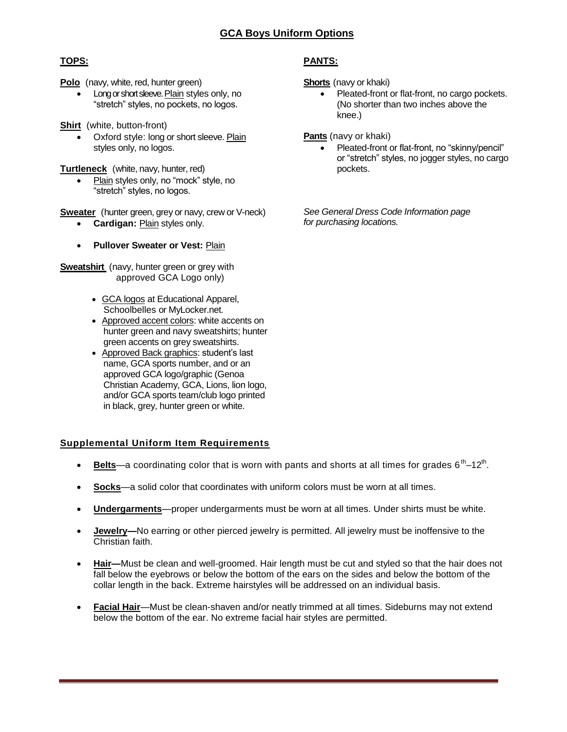# **GCA Boys Uniform Options**

# **TOPS:**

**Polo** (navy, white, red, hunter green)

• Long or short sleeve. Plain styles only, no "stretch" styles, no pockets, no logos.

**Shirt** (white, button-front)

- Oxford style: long or short sleeve. Plain styles only, no logos.
- **Turtleneck** (white, navy, hunter, red)
	- Plain styles only, no "mock" style, no "stretch" styles, no logos.
- **Sweater** (hunter green, grey or navy, crew or V-neck)
	- **Cardigan:** Plain styles only.
	- **Pullover Sweater or Vest: Plain**

**Sweatshirt** (navy, hunter green or grey with approved GCA Logo only)

- GCA logos at Educational Apparel, Schoolbelles or MyLocker.net.
- Approved accent colors: white accents on hunter green and navy sweatshirts; hunter green accents on grey sweatshirts.
- Approved Back graphics: student's last name, GCA sports number, and or an approved GCA logo/graphic (Genoa Christian Academy, GCA, Lions, lion logo, and/or GCA sports team/club logo printed in black, grey, hunter green or white.

# **Supplemental Uniform Item Requirements**

- Belts—a coordinating color that is worn with pants and shorts at all times for grades 6<sup>th</sup>–12<sup>th</sup>.
- **Socks**—a solid color that coordinates with uniform colors must be worn at all times.
- **Undergarments**—proper undergarments must be worn at all times. Under shirts must be white.
- **Jewelry—**No earring or other pierced jewelry is permitted. All jewelry must be inoffensive to the Christian faith.
- **Hair—**Must be clean and well-groomed. Hair length must be cut and styled so that the hair does not fall below the eyebrows or below the bottom of the ears on the sides and below the bottom of the collar length in the back. Extreme hairstyles will be addressed on an individual basis.
- **Facial Hair**—Must be clean-shaven and/or neatly trimmed at all times. Sideburns may not extend below the bottom of the ear. No extreme facial hair styles are permitted.

# **PANTS:**

**Shorts** (navy or khaki)

• Pleated-front or flat-front, no cargo pockets. (No shorter than two inches above the knee.)

**Pants** (navy or khaki)

 Pleated-front or flat-front, no "skinny/pencil" or "stretch" styles, no jogger styles, no cargo pockets.

*See General Dress Code Information page for purchasing locations.*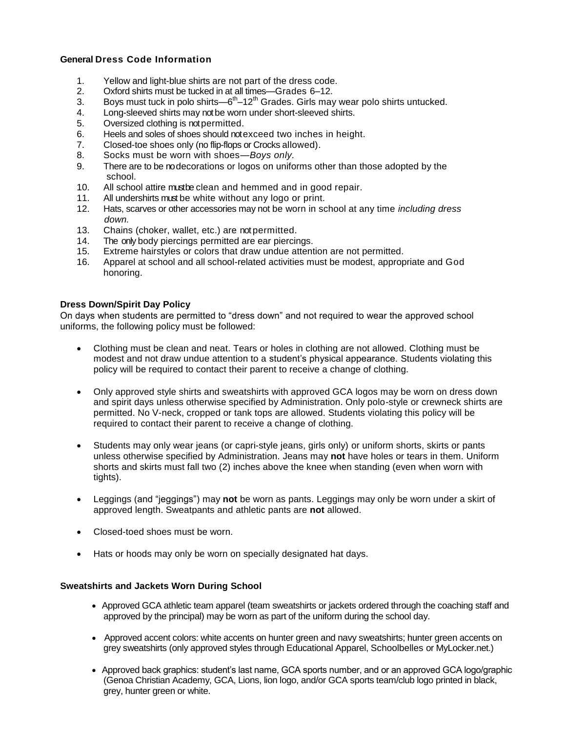# **General Dress Code Information**

- 1. Yellow and light-blue shirts are not part of the dress code.
- 2. Oxford shirts must be tucked in at all times—Grades 6–12.
- 3. Boys must tuck in polo shirts—6<sup>th</sup> $-12^{th}$  Grades. Girls may wear polo shirts untucked.
- 4. Long-sleeved shirts may not be worn under short-sleeved shirts.
- 5. Oversized clothing is not permitted.
- 6. Heels and soles of shoes should not exceed two inches in height.
- 7. Closed-toe shoes only (no flip-flops or Crocks allowed).
- 8. Socks must be worn with shoes—*Boys only.*
- 9. There are to be no decorations or logos on uniforms other than those adopted by the school.
- 10. All school attire must be clean and hemmed and in good repair.
- 11. All undershirts must be white without any logo or print.
- 12. Hats, scarves or other accessories may not be worn in school at any time *including dress down.*
- 13. Chains (choker, wallet, etc.) are not permitted.
- 14. The only body piercings permitted are ear piercings.
- 15. Extreme hairstyles or colors that draw undue attention are not permitted.
- 16. Apparel at school and all school-related activities must be modest, appropriate and God honoring.

#### **Dress Down/Spirit Day Policy**

On days when students are permitted to "dress down" and not required to wear the approved school uniforms, the following policy must be followed:

- Clothing must be clean and neat. Tears or holes in clothing are not allowed. Clothing must be modest and not draw undue attention to a student's physical appearance. Students violating this policy will be required to contact their parent to receive a change of clothing.
- Only approved style shirts and sweatshirts with approved GCA logos may be worn on dress down and spirit days unless otherwise specified by Administration. Only polo-style or crewneck shirts are permitted. No V-neck, cropped or tank tops are allowed. Students violating this policy will be required to contact their parent to receive a change of clothing.
- Students may only wear jeans (or capri-style jeans, girls only) or uniform shorts, skirts or pants unless otherwise specified by Administration. Jeans may **not** have holes or tears in them. Uniform shorts and skirts must fall two (2) inches above the knee when standing (even when worn with tights).
- Leggings (and "jeggings") may **not** be worn as pants. Leggings may only be worn under a skirt of approved length. Sweatpants and athletic pants are **not** allowed.
- Closed-toed shoes must be worn.
- Hats or hoods may only be worn on specially designated hat days.

#### **Sweatshirts and Jackets Worn During School**

- Approved GCA athletic team apparel (team sweatshirts or jackets ordered through the coaching staff and approved by the principal) may be worn as part of the uniform during the school day.
- Approved accent colors: white accents on hunter green and navy sweatshirts; hunter green accents on grey sweatshirts (only approved styles through Educational Apparel, Schoolbelles or MyLocker.net.)
- Approved back graphics: student's last name, GCA sports number, and or an approved GCA logo/graphic (Genoa Christian Academy, GCA, Lions, lion logo, and/or GCA sports team/club logo printed in black, grey, hunter green or white.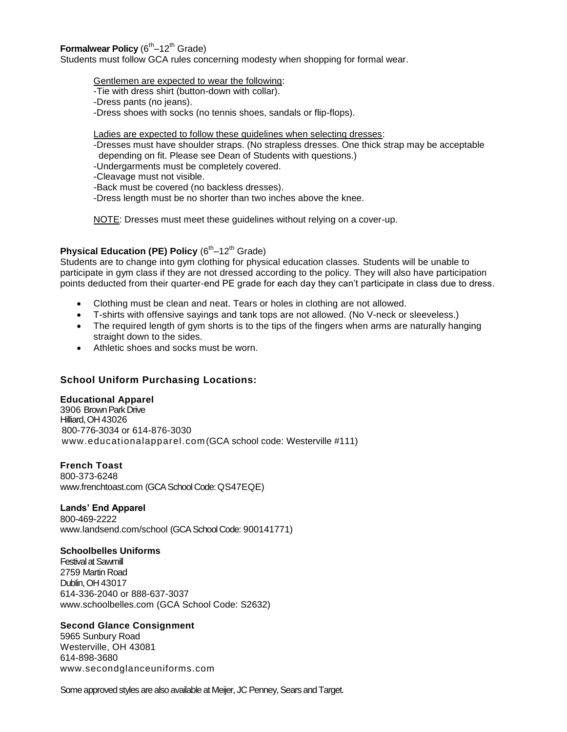# Formalwear Policy (6<sup>th</sup>–12<sup>th</sup> Grade)

Students must follow GCA rules concerning modesty when shopping for formal wear.

Gentlemen are expected to wear the following:

- -Tie with dress shirt (button-down with collar).
- -Dress pants (no jeans).

-Dress shoes with socks (no tennis shoes, sandals or flip-flops).

Ladies are expected to follow these guidelines when selecting dresses:

- -Dresses must have shoulder straps. (No strapless dresses. One thick strap may be acceptable depending on fit. Please see Dean of Students with questions.)
- -Undergarments must be completely covered.
- -Cleavage must not visible.
- -Back must be covered (no backless dresses).
- -Dress length must be no shorter than two inches above the knee.

NOTE: Dresses must meet these guidelines without relying on a cover-up.

# **Physical Education (PE) Policy (6<sup>th</sup>-12<sup>th</sup> Grade)**

Students are to change into gym clothing for physical education classes. Students will be unable to participate in gym class if they are not dressed according to the policy. They will also have participation points deducted from their quarter-end PE grade for each day they can't participate in class due to dress.

- Clothing must be clean and neat. Tears or holes in clothing are not allowed.
- T-shirts with offensive sayings and tank tops are not allowed. (No V-neck or sleeveless.)
- The required length of gym shorts is to the tips of the fingers when arms are naturally hanging straight down to the sides.
- Athletic shoes and socks must be worn.

# **School Uniform Purchasing Locations:**

#### **Educational Apparel**

3906 Brown Park Drive Hilliard, OH 43026 800-776-3034 or 614-876-3030 [www.educationalapparel.com](http://www.educationalapparel.com/) (GCA school code: Westerville #111)

# **French Toast**

800-373-6248 www.frenchtoast.com (GCA School Code: QS47EQE)

# **Lands' End Apparel**

800-469-2222 [www.landsend.com/school](http://www.landsend.com/school) (GCA School Code: 900141771)

#### **Schoolbelles Uniforms**

Festival at Sawmill 2759 Martin Road Dublin, OH 43017 614-336-2040 or 888-637-3037 [www.schoolbelles.com](http://www.schoolbelles.com/) (GCA School Code: S2632)

# **Second Glance Consignment**

5965 Sunbury Road Westerville, OH 43081 614-898-3680 [www.secondglanceuniforms.com](http://www.secondglanceuniforms.com/)

Some approved styles are also available at Meijer, JC Penney, Sears and Target.